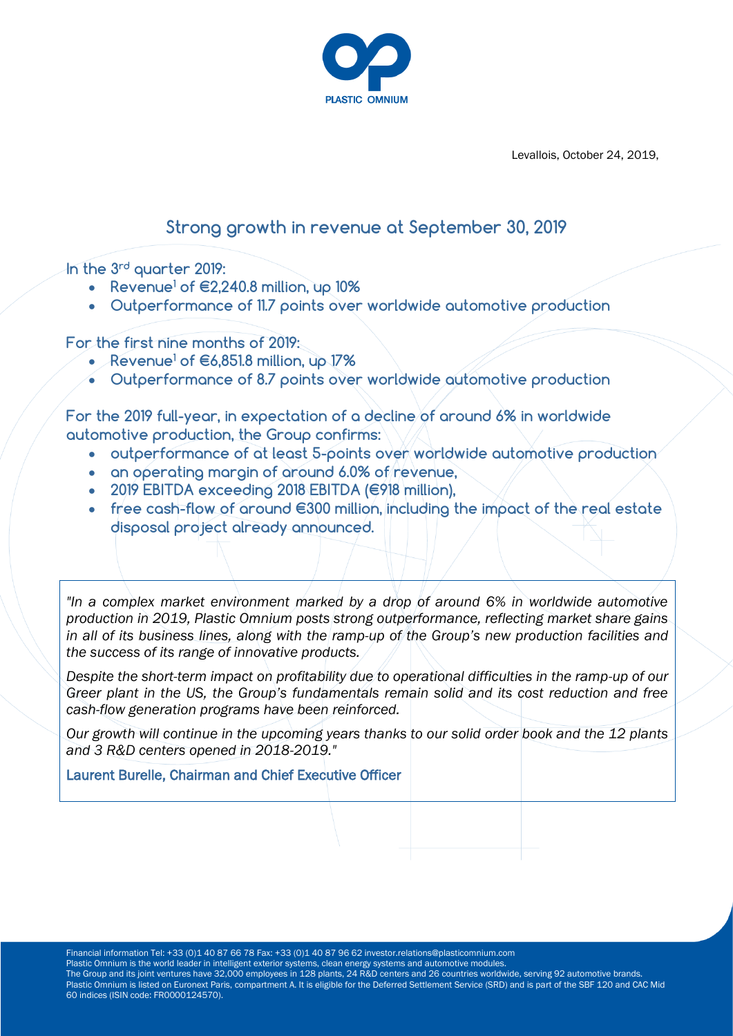

Levallois, October 24, 2019,

# **Strong growth in revenue at September 30, 2019**

**In the 3rd quarter 2019:** 

- **Revenue<sup>1</sup> of €2,240.8 million, up 10%**
- **Outperformance of 11.7 points over worldwide automotive production**

**For the first nine months of 2019:**

- **Revenue<sup>1</sup> of €6,851.8 million, up 17%**
- **Outperformance of 8.7 points over worldwide automotive production**

**For the 2019 full-year, in expectation of a decline of around 6% in worldwide automotive production, the Group confirms:**

- **outperformance of at least 5-points over worldwide automotive production**
- **an operating margin of around 6.0% of revenue,**
- **2019 EBITDA exceeding 2018 EBITDA (€918 million),**
- **free cash-flow of around €300 million, including the impact of the real estate disposal project already announced.**

*"In a complex market environment marked by a drop of around 6% in worldwide automotive production in 2019, Plastic Omnium posts strong outperformance, reflecting market share gains in all of its business lines, along with the ramp-up of the Group's new production facilities and the success of its range of innovative products.* 

*Despite the short-term impact on profitability due to operational difficulties in the ramp-up of our Greer plant in the US, the Group's fundamentals remain solid and its cost reduction and free cash-flow generation programs have been reinforced.* 

*Our growth will continue in the upcoming years thanks to our solid order book and the 12 plants and 3 R&D centers opened in 2018-2019."* 

Laurent Burelle, Chairman and Chief Executive Officer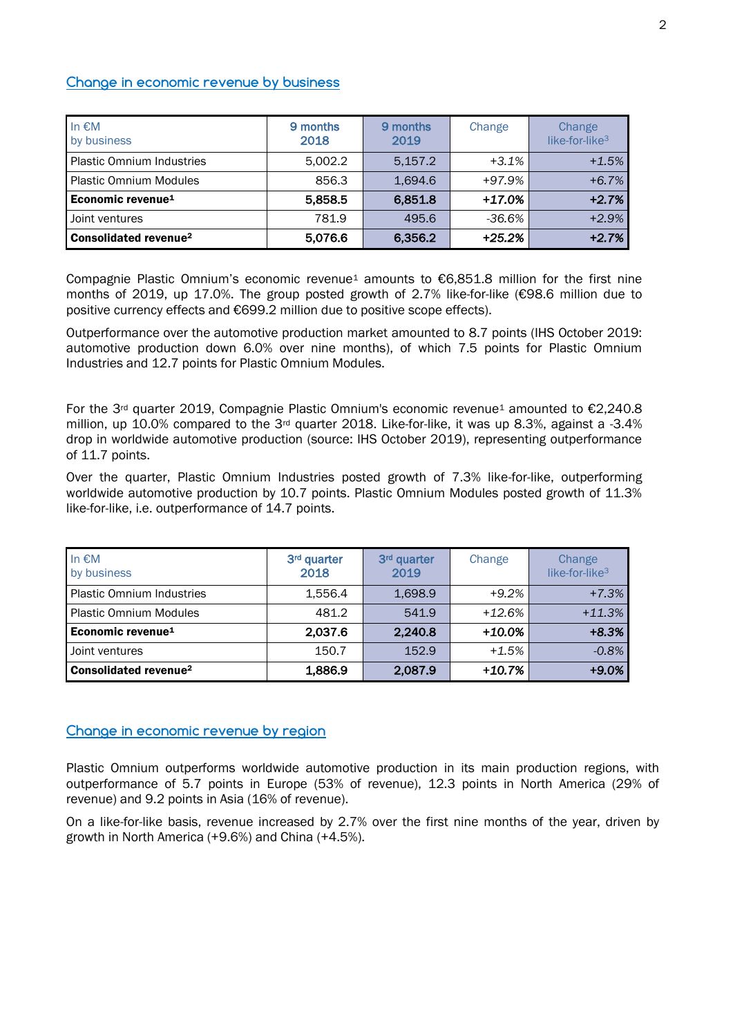# **Change in economic revenue by business**

| In $\epsilon$ M<br>by business          | 9 months<br>2018 | 9 months<br>2019 | Change   | Change<br>like-for-like <sup>3</sup> |
|-----------------------------------------|------------------|------------------|----------|--------------------------------------|
| <b>Plastic Omnium Industries</b>        | 5.002.2          | 5.157.2          | $+3.1%$  | $+1.5%$                              |
| <b>Plastic Omnium Modules</b>           | 856.3            | 1.694.6          | $+97.9%$ | $+6.7%$                              |
| Economic revenue <sup>1</sup>           | 5,858.5          | 6,851.8          | +17.0%   | $+2.7%$                              |
| Joint ventures                          | 781.9            | 495.6            | -36.6%   | $+2.9%$                              |
| <b>Consolidated revenue<sup>2</sup></b> | 5,076.6          | 6,356.2          | $+25.2%$ | $+2.7%$                              |

Compagnie Plastic Omnium's economic revenue<sup>1</sup> amounts to  $\epsilon$ 6.851.8 million for the first nine months of 2019, up 17.0%. The group posted growth of 2.7% like-for-like (€98.6 million due to positive currency effects and €699.2 million due to positive scope effects).

Outperformance over the automotive production market amounted to 8.7 points (IHS October 2019: automotive production down 6.0% over nine months), of which 7.5 points for Plastic Omnium Industries and 12.7 points for Plastic Omnium Modules.

For the 3<sup>rd</sup> quarter 2019, Compagnie Plastic Omnium's economic revenue<sup>1</sup> amounted to  $\epsilon$ 2,240.8 million, up 10.0% compared to the 3rd quarter 2018. Like-for-like, it was up 8.3%, against a -3.4% drop in worldwide automotive production (source: IHS October 2019), representing outperformance of 11.7 points.

Over the quarter, Plastic Omnium Industries posted growth of 7.3% like-for-like, outperforming worldwide automotive production by 10.7 points. Plastic Omnium Modules posted growth of 11.3% like-for-like, i.e. outperformance of 14.7 points.

| In $\epsilon$ M<br>by business    | 3rd quarter<br>2018 | 3rd quarter<br>2019 | Change    | Change<br>like-for-like <sup>3</sup> |
|-----------------------------------|---------------------|---------------------|-----------|--------------------------------------|
| <b>Plastic Omnium Industries</b>  | 1.556.4             | 1,698.9             | $+9.2%$   | $+7.3%$                              |
| <b>Plastic Omnium Modules</b>     | 481.2               | 541.9               | $+12.6%$  | $+11.3%$                             |
| Economic revenue <sup>1</sup>     | 2,037.6             | 2,240.8             | $+10.0\%$ | $+8.3%$                              |
| Joint ventures                    | 150.7               | 152.9               | $+1.5%$   | $-0.8%$                              |
| Consolidated revenue <sup>2</sup> | 1,886.9             | 2,087.9             | $+10.7%$  | $+9.0%$                              |

### **Change in economic revenue by region**

Plastic Omnium outperforms worldwide automotive production in its main production regions, with outperformance of 5.7 points in Europe (53% of revenue), 12.3 points in North America (29% of revenue) and 9.2 points in Asia (16% of revenue).

On a like-for-like basis, revenue increased by 2.7% over the first nine months of the year, driven by growth in North America (+9.6%) and China (+4.5%).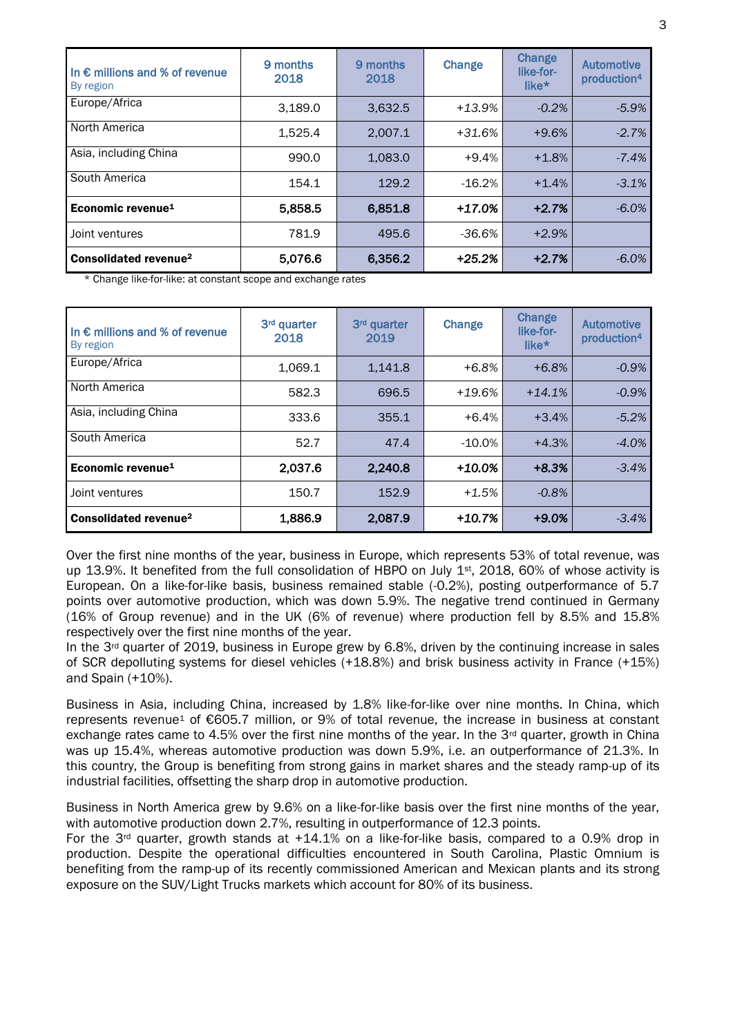| In $\epsilon$ millions and % of revenue<br>By region | 9 months<br>2018 | 9 months<br>2018 | Change   | <b>Change</b><br>like-for-<br>like* | <b>Automotive</b><br>production <sup>4</sup> |
|------------------------------------------------------|------------------|------------------|----------|-------------------------------------|----------------------------------------------|
| Europe/Africa                                        | 3.189.0          | 3.632.5          | $+13.9%$ | $-0.2%$                             | $-5.9%$                                      |
| North America                                        | 1,525.4          | 2.007.1          | $+31.6%$ | $+9.6%$                             | $-2.7%$                                      |
| Asia, including China                                | 990.0            | 1.083.0          | $+9.4%$  | $+1.8%$                             | $-7.4%$                                      |
| South America                                        | 154.1            | 129.2            | $-16.2%$ | $+1.4%$                             | $-3.1%$                                      |
| Economic revenue <sup>1</sup>                        | 5,858.5          | 6,851.8          | +17.0%   | $+2.7%$                             | $-6.0%$                                      |
| Joint ventures                                       | 781.9            | 495.6            | $-36.6%$ | $+2.9%$                             |                                              |
| Consolidated revenue <sup>2</sup>                    | 5,076.6          | 6,356.2          | $+25.2%$ | $+2.7%$                             | $-6.0%$                                      |

\* Change like-for-like: at constant scope and exchange rates

| In $\epsilon$ millions and % of revenue<br>By region | 3rd quarter<br>2018 | 3 <sup>rd</sup> quarter<br>2019 | Change   | Change<br>like-for-<br>like* | <b>Automotive</b><br>production <sup>4</sup> |
|------------------------------------------------------|---------------------|---------------------------------|----------|------------------------------|----------------------------------------------|
| Europe/Africa                                        | 1,069.1             | 1,141.8                         | $+6.8%$  | $+6.8%$                      | $-0.9%$                                      |
| North America                                        | 582.3               | 696.5                           | $+19.6%$ | $+14.1%$                     | $-0.9%$                                      |
| Asia, including China                                | 333.6               | 355.1                           | $+6.4%$  | $+3.4%$                      | $-5.2%$                                      |
| South America                                        | 52.7                | 47.4                            | $-10.0%$ | $+4.3%$                      | $-4.0%$                                      |
| Economic revenue <sup>1</sup>                        | 2,037.6             | 2,240.8                         | +10.0%   | $+8.3%$                      | $-3.4%$                                      |
| Joint ventures                                       | 150.7               | 152.9                           | $+1.5%$  | $-0.8%$                      |                                              |
| Consolidated revenue <sup>2</sup>                    | 1,886.9             | 2,087.9                         | +10.7%   | $+9.0%$                      | $-3.4%$                                      |

Over the first nine months of the year, business in Europe, which represents 53% of total revenue, was up 13.9%. It benefited from the full consolidation of HBPO on July 1<sup>st</sup>, 2018, 60% of whose activity is European. On a like-for-like basis, business remained stable (-0.2%), posting outperformance of 5.7 points over automotive production, which was down 5.9%. The negative trend continued in Germany (16% of Group revenue) and in the UK (6% of revenue) where production fell by 8.5% and 15.8% respectively over the first nine months of the year.

In the 3<sup>rd</sup> quarter of 2019, business in Europe grew by 6.8%, driven by the continuing increase in sales of SCR depolluting systems for diesel vehicles (+18.8%) and brisk business activity in France (+15%) and Spain (+10%).

Business in Asia, including China, increased by 1.8% like-for-like over nine months. In China, which represents revenue<sup>1</sup> of €605.7 million, or 9% of total revenue, the increase in business at constant exchange rates came to 4.5% over the first nine months of the year. In the 3rd quarter, growth in China was up 15.4%, whereas automotive production was down 5.9%, i.e. an outperformance of 21.3%. In this country, the Group is benefiting from strong gains in market shares and the steady ramp-up of its industrial facilities, offsetting the sharp drop in automotive production.

Business in North America grew by 9.6% on a like-for-like basis over the first nine months of the year, with automotive production down 2.7%, resulting in outperformance of 12.3 points.

For the  $3^{rd}$  quarter, growth stands at  $+14.1\%$  on a like-for-like basis, compared to a 0.9% drop in production. Despite the operational difficulties encountered in South Carolina, Plastic Omnium is benefiting from the ramp-up of its recently commissioned American and Mexican plants and its strong exposure on the SUV/Light Trucks markets which account for 80% of its business.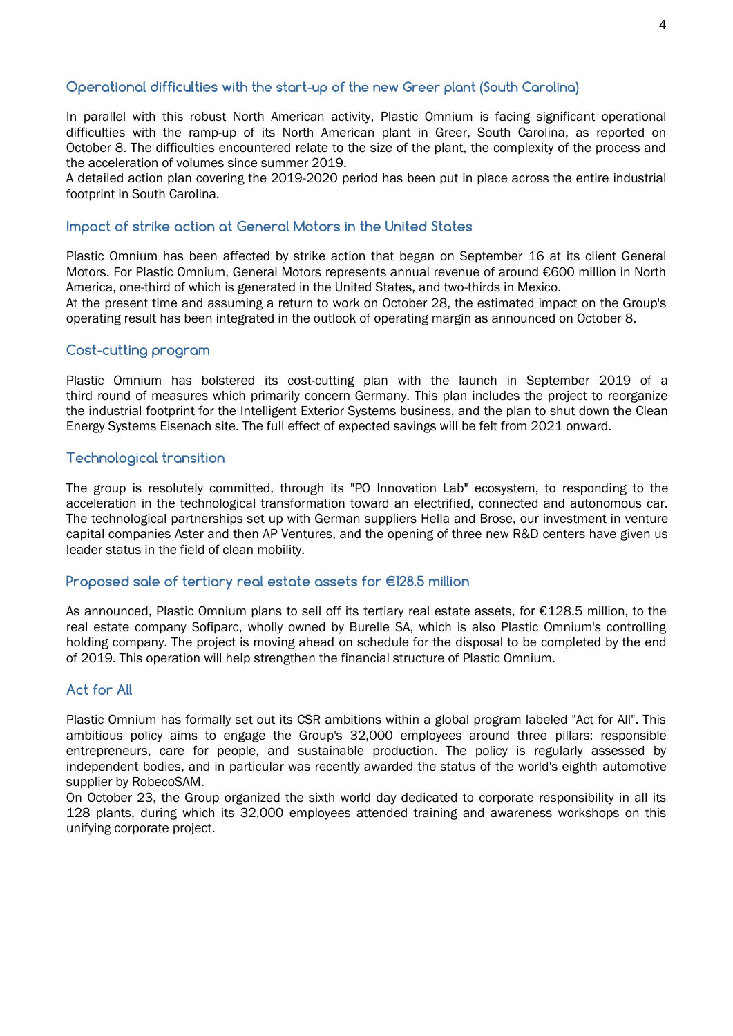# **Operational difficulties with the start-up of the new Greer plant (South Carolina)**

In parallel with this robust North American activity, Plastic Omnium is facing significant operational difficulties with the ramp-up of its North American plant in Greer, South Carolina, as reported on October 8. The difficulties encountered relate to the size of the plant, the complexity of the process and the acceleration of volumes since summer 2019.

A detailed action plan covering the 2019-2020 period has been put in place across the entire industrial footprint in South Carolina.

# **Impact of strike action at General Motors in the United States**

Plastic Omnium has been affected by strike action that began on September 16 at its client General Motors. For Plastic Omnium, General Motors represents annual revenue of around €600 million in North America, one-third of which is generated in the United States, and two-thirds in Mexico.

At the present time and assuming a return to work on October 28, the estimated impact on the Group's operating result has been integrated in the outlook of operating margin as announced on October 8.

# **Cost-cutting program**

Plastic Omnium has bolstered its cost-cutting plan with the launch in September 2019 of a third round of measures which primarily concern Germany. This plan includes the project to reorganize the industrial footprint for the Intelligent Exterior Systems business, and the plan to shut down the Clean Energy Systems Eisenach site. The full effect of expected savings will be felt from 2021 onward.

# **Technological transition**

The group is resolutely committed, through its "PO Innovation Lab" ecosystem, to responding to the acceleration in the technological transformation toward an electrified, connected and autonomous car. The technological partnerships set up with German suppliers Hella and Brose, our investment in venture capital companies Aster and then AP Ventures, and the opening of three new R&D centers have given us leader status in the field of clean mobility.

### **Proposed sale of tertiary real estate assets for €128.5 million**

As announced, Plastic Omnium plans to sell off its tertiary real estate assets, for €128.5 million, to the real estate company Sofiparc, wholly owned by Burelle SA, which is also Plastic Omnium's controlling holding company. The project is moving ahead on schedule for the disposal to be completed by the end of 2019. This operation will help strengthen the financial structure of Plastic Omnium.

# **Act for All**

Plastic Omnium has formally set out its CSR ambitions within a global program labeled "Act for All". This ambitious policy aims to engage the Group's 32,000 employees around three pillars: responsible entrepreneurs, care for people, and sustainable production. The policy is regularly assessed by independent bodies, and in particular was recently awarded the status of the world's eighth automotive supplier by RobecoSAM.

On October 23, the Group organized the sixth world day dedicated to corporate responsibility in all its 128 plants, during which its 32,000 employees attended training and awareness workshops on this unifying corporate project.